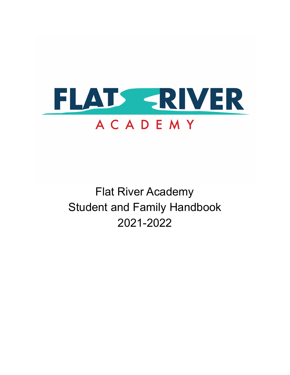

Flat River Academy Student and Family Handbook 2021-2022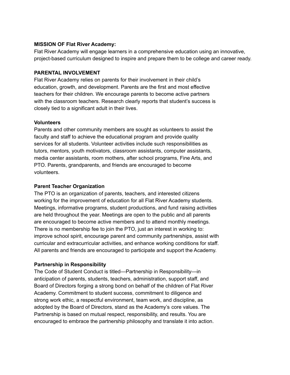### **MISSION OF Flat River Academy:**

Flat River Academy will engage learners in a comprehensive education using an innovative, project-based curriculum designed to inspire and prepare them to be college and career ready.

### **PARENTAL INVOLVEMENT**

Flat River Academy relies on parents for their involvement in their child's education, growth, and development. Parents are the first and most effective teachers for their children. We encourage parents to become active partners with the classroom teachers. Research clearly reports that student's success is closely tied to a significant adult in their lives.

### **Volunteers**

Parents and other community members are sought as volunteers to assist the faculty and staff to achieve the educational program and provide quality services for all students. Volunteer activities include such responsibilities as tutors, mentors, youth motivators, classroom assistants, computer assistants, media center assistants, room mothers, after school programs, Fine Arts, and PTO. Parents, grandparents, and friends are encouraged to become volunteers.

### **Parent Teacher Organization**

The PTO is an organization of parents, teachers, and interested citizens working for the improvement of education for all Flat River Academy students. Meetings, informative programs, student productions, and fund raising activities are held throughout the year. Meetings are open to the public and all parents are encouraged to become active members and to attend monthly meetings. There is no membership fee to join the PTO, just an interest in working to: improve school spirit, encourage parent and community partnerships, assist with curricular and extracurricular activities, and enhance working conditions for staff. All parents and friends are encouraged to participate and support the Academy.

## **Partnership in Responsibility**

The Code of Student Conduct is titled—Partnership in Responsibility—in anticipation of parents, students, teachers, administration, support staff, and Board of Directors forging a strong bond on behalf of the children of Flat River Academy. Commitment to student success, commitment to diligence and strong work ethic, a respectful environment, team work, and discipline, as adopted by the Board of Directors, stand as the Academy's core values. The Partnership is based on mutual respect, responsibility, and results. You are encouraged to embrace the partnership philosophy and translate it into action.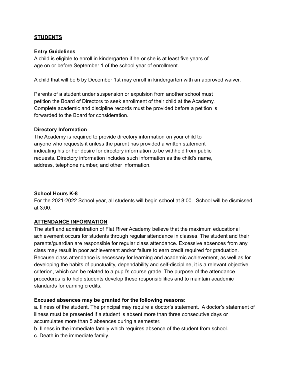### **STUDENTS**

#### **Entry Guidelines**

A child is eligible to enroll in kindergarten if he or she is at least five years of age on or before September 1 of the school year of enrollment.

A child that will be 5 by December 1st may enroll in kindergarten with an approved waiver.

Parents of a student under suspension or expulsion from another school must petition the Board of Directors to seek enrollment of their child at the Academy. Complete academic and discipline records must be provided before a petition is forwarded to the Board for consideration.

#### **Directory Information**

The Academy is required to provide directory information on your child to anyone who requests it unless the parent has provided a written statement indicating his or her desire for directory information to be withheld from public requests. Directory information includes such information as the child's name, address, telephone number, and other information.

### **School Hours K-8**

For the 2021-2022 School year, all students will begin school at 8:00. School will be dismissed at 3:00.

### **ATTENDANCE INFORMATION**

The staff and administration of Flat River Academy believe that the maximum educational achievement occurs for students through regular attendance in classes. The student and their parents/guardian are responsible for regular class attendance. Excessive absences from any class may result in poor achievement and/or failure to earn credit required for graduation. Because class attendance is necessary for learning and academic achievement, as well as for developing the habits of punctuality, dependability and self-discipline, it is a relevant objective criterion, which can be related to a pupil's course grade. The purpose of the attendance procedures is to help students develop these responsibilities and to maintain academic standards for earning credits.

#### **Excused absences may be granted for the following reasons:**

a. Illness of the student. The principal may require a doctor's statement. A doctor's statement of illness must be presented if a student is absent more than three consecutive days or accumulates more than 5 absences during a semester.

b. Illness in the immediate family which requires absence of the student from school.

c. Death in the immediate family.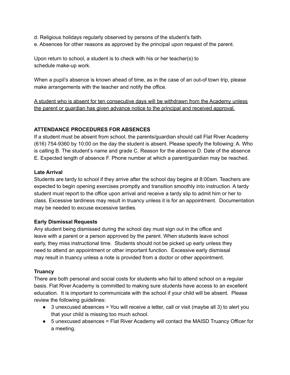- d. Religious holidays regularly observed by persons of the student's faith.
- e. Absences for other reasons as approved by the principal upon request of the parent.

Upon return to school, a student is to check with his or her teacher(s) to schedule make-up work.

When a pupil's absence is known ahead of time, as in the case of an out-of town trip, please make arrangements with the teacher and notify the office.

A student who is absent for ten consecutive days will be withdrawn from the Academy unless the parent or guardian has given advance notice to the principal and received approval.

### **ATTENDANCE PROCEDURES FOR ABSENCES**

If a student must be absent from school, the parents/guardian should call Flat River Academy (616) 754-9360 by 10:00 on the day the student is absent. Please specify the following: A. Who is calling B. The student's name and grade C. Reason for the absence D. Date of the absence E. Expected length of absence F. Phone number at which a parent/guardian may be reached.

### **Late Arrival**

Students are tardy to school if they arrive after the school day begins at 8:00am. Teachers are expected to begin opening exercises promptly and transition smoothly into instruction. A tardy student must report to the office upon arrival and receive a tardy slip to admit him or her to class. Excessive tardiness may result in truancy unless it is for an appointment. Documentation may be needed to excuse excessive tardies.

### **Early Dismissal Requests**

Any student being dismissed during the school day must sign out in the office and leave with a parent or a person approved by the parent. When students leave school early, they miss instructional time. Students should not be picked up early unless they need to attend an appointment or other important function. Excessive early dismissal may result in truancy unless a note is provided from a doctor or other appointment.

### **Truancy**

There are both personal and social costs for students who fail to attend school on a regular basis. Flat River Academy is committed to making sure students have access to an excellent education. It is important to communicate with the school if your child will be absent. Please review the following guidelines:

- 3 unexcused absences = You will receive a letter, call or visit (maybe all 3) to alert you that your child is missing too much school.
- 5 unexcused absences = Flat River Academy will contact the MAISD Truancy Officer for a meeting.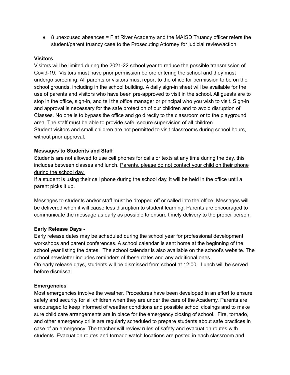● 8 unexcused absences = Flat River Academy and the MAISD Truancy officer refers the student/parent truancy case to the Prosecuting Attorney for judicial review/action.

### **Visitors**

Visitors will be limited during the 2021-22 school year to reduce the possible transmission of Covid-19. Visitors must have prior permission before entering the school and they must undergo screening. All parents or visitors must report to the office for permission to be on the school grounds, including in the school building. A daily sign-in sheet will be available for the use of parents and visitors who have been pre-approved to visit in the school. All guests are to stop in the office, sign-in, and tell the office manager or principal who you wish to visit. Sign-in and approval is necessary for the safe protection of our children and to avoid disruption of Classes. No one is to bypass the office and go directly to the classroom or to the playground area. The staff must be able to provide safe, secure supervision of all children. Student visitors and small children are not permitted to visit classrooms during school hours, without prior approval.

### **Messages to Students and Staff**

Students are not allowed to use cell phones for calls or texts at any time during the day, this includes between classes and lunch. Parents, please do not contact your child on their phone during the school day.

If a student is using their cell phone during the school day, it will be held in the office until a parent picks it up.

Messages to students and/or staff must be dropped off or called into the office. Messages will be delivered when it will cause less disruption to student learning. Parents are encouraged to communicate the message as early as possible to ensure timely delivery to the proper person.

## **Early Release Days -**

Early release dates may be scheduled during the school year for professional development workshops and parent conferences. A school calendar is sent home at the beginning of the school year listing the dates. The school calendar is also available on the school's website. The school newsletter includes reminders of these dates and any additional ones. On early release days, students will be dismissed from school at 12:00. Lunch will be served before dismissal.

## **Emergencies**

Most emergencies involve the weather. Procedures have been developed in an effort to ensure safety and security for all children when they are under the care of the Academy. Parents are encouraged to keep informed of weather conditions and possible school closings and to make sure child care arrangements are in place for the emergency closing of school. Fire, tornado, and other emergency drills are regularly scheduled to prepare students about safe practices in case of an emergency. The teacher will review rules of safety and evacuation routes with students. Evacuation routes and tornado watch locations are posted in each classroom and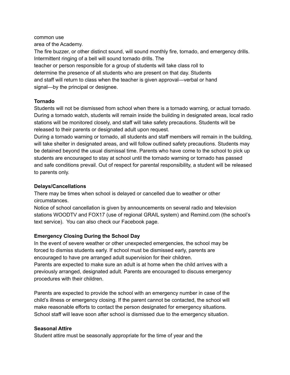#### common use

area of the Academy.

The fire buzzer, or other distinct sound, will sound monthly fire, tornado, and emergency drills. Intermittent ringing of a bell will sound tornado drills. The teacher or person responsible for a group of students will take class roll to determine the presence of all students who are present on that day. Students and staff will return to class when the teacher is given approval—verbal or hand signal—by the principal or designee.

# **Tornado**

Students will not be dismissed from school when there is a tornado warning, or actual tornado. During a tornado watch, students will remain inside the building in designated areas, local radio stations will be monitored closely, and staff will take safety precautions. Students will be released to their parents or designated adult upon request.

During a tornado warning or tornado, all students and staff members will remain in the building, will take shelter in designated areas, and will follow outlined safety precautions. Students may be detained beyond the usual dismissal time. Parents who have come to the school to pick up students are encouraged to stay at school until the tornado warning or tornado has passed and safe conditions prevail. Out of respect for parental responsibility, a student will be released to parents only.

# **Delays/Cancellations**

There may be times when school is delayed or cancelled due to weather or other circumstances.

Notice of school cancellation is given by announcements on several radio and television stations WOODTV and FOX17 (use of regional GRAIL system) and Remind.com (the school's text service). You can also check our Facebook page.

# **Emergency Closing During the School Day**

In the event of severe weather or other unexpected emergencies, the school may be forced to dismiss students early. If school must be dismissed early, parents are encouraged to have pre arranged adult supervision for their children. Parents are expected to make sure an adult is at home when the child arrives with a previously arranged, designated adult. Parents are encouraged to discuss emergency

procedures with their children.

Parents are expected to provide the school with an emergency number in case of the child's illness or emergency closing. If the parent cannot be contacted, the school will make reasonable efforts to contact the person designated for emergency situations. School staff will leave soon after school is dismissed due to the emergency situation.

## **Seasonal Attire**

Student attire must be seasonally appropriate for the time of year and the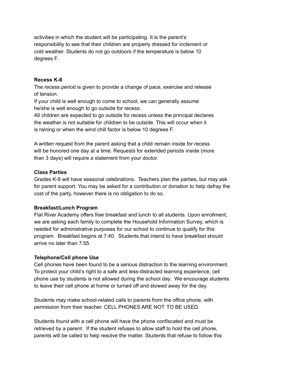activities in which the student will be participating. It is the parent's responsibility to see that their children are properly dressed for inclement or cold weather. Students do not go outdoors if the temperature is below 10 degrees F.

### **Recess K-8**

The recess period is given to provide a change of pace, exercise and release of tension.

If your child is well enough to come to school, we can generally assume he/she is well enough to go outside for recess.

All children are expected to go outside for recess unless the principal declares the weather is not suitable for children to be outside. This will occur when it is raining or when the wind chill factor is below 10 degrees F.

A written request from the parent asking that a child remain inside for recess will be honored one day at a time. Requests for extended periods inside (more than 3 days) will require a statement from your doctor.

### **Class Parties**

Grades K-8 will have seasonal celebrations. Teachers plan the parties, but may ask for parent support. You may be asked for a contribution or donation to help defray the cost of the party, however there is no obligation to do so.

### **Breakfast/Lunch Program**

Flat River Academy offers free breakfast and lunch to all students. Upon enrollment, we are asking each family to complete the Household Information Survey, which is needed for administrative purposes for our school to continue to qualify for this program. Breakfast begins at 7:40. Students that intend to have breakfast should arrive no later than 7:55.

### **Telephone/Cell phone Use**

Cell phones have been found to be a serious distraction to the learning environment. To protect your child's right to a safe and less-distracted learning experience, cell phone use by students is not allowed during the school day. We encourage students to leave their cell phone at home or turned off and stowed away for the day.

Students may make school-related calls to parents from the office phone, with permission from their teacher. CELL PHONES ARE NOT TO BE USED.

Students found with a cell phone will have the phone confiscated and must be retrieved by a parent. If the student refuses to allow staff to hold the cell phone, parents will be called to help resolve the matter. Students that refuse to follow this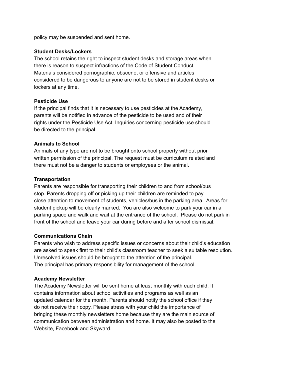policy may be suspended and sent home.

### **Student Desks/Lockers**

The school retains the right to inspect student desks and storage areas when there is reason to suspect infractions of the Code of Student Conduct. Materials considered pornographic, obscene, or offensive and articles considered to be dangerous to anyone are not to be stored in student desks or lockers at any time.

#### **Pesticide Use**

If the principal finds that it is necessary to use pesticides at the Academy, parents will be notified in advance of the pesticide to be used and of their rights under the Pesticide Use Act. Inquiries concerning pesticide use should be directed to the principal.

#### **Animals to School**

Animals of any type are not to be brought onto school property without prior written permission of the principal. The request must be curriculum related and there must not be a danger to students or employees or the animal.

#### **Transportation**

Parents are responsible for transporting their children to and from school/bus stop. Parents dropping off or picking up their children are reminded to pay close attention to movement of students, vehicles/bus in the parking area. Areas for student pickup will be clearly marked. You are also welcome to park your car in a parking space and walk and wait at the entrance of the school. Please do not park in front of the school and leave your car during before and after school dismissal.

### **Communications Chain**

Parents who wish to address specific issues or concerns about their child's education are asked to speak first to their child's classroom teacher to seek a suitable resolution. Unresolved issues should be brought to the attention of the principal. The principal has primary responsibility for management of the school.

#### **Academy Newsletter**

The Academy Newsletter will be sent home at least monthly with each child. It contains information about school activities and programs as well as an updated calendar for the month. Parents should notify the school office if they do not receive their copy. Please stress with your child the importance of bringing these monthly newsletters home because they are the main source of communication between administration and home. It may also be posted to the Website, Facebook and Skyward.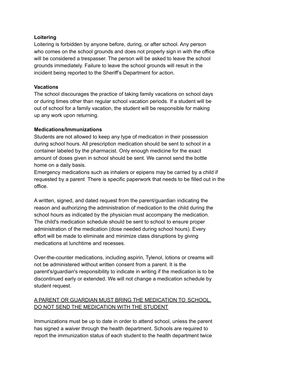### **Loitering**

Loitering is forbidden by anyone before, during, or after school. Any person who comes on the school grounds and does not properly sign in with the office will be considered a trespasser. The person will be asked to leave the school grounds immediately. Failure to leave the school grounds will result in the incident being reported to the Sheriff's Department for action.

### **Vacations**

The school discourages the practice of taking family vacations on school days or during times other than regular school vacation periods. If a student will be out of school for a family vacation, the student will be responsible for making up any work upon returning.

### **Medications/Immunizations**

Students are not allowed to keep any type of medication in their possession during school hours. All prescription medication should be sent to school in a container labeled by the pharmacist. Only enough medicine for the exact amount of doses given in school should be sent. We cannot send the bottle home on a daily basis.

Emergency medications such as inhalers or epipens may be carried by a child if requested by a parent There is specific paperwork that needs to be filled out in the office.

A written, signed, and dated request from the parent/guardian indicating the reason and authorizing the administration of medication to the child during the school hours as indicated by the physician must accompany the medication. The child's medication schedule should be sent to school to ensure proper administration of the medication (dose needed during school hours). Every effort will be made to eliminate and minimize class disruptions by giving medications at lunchtime and recesses.

Over-the-counter medications, including aspirin, Tylenol, lotions or creams will not be administered without written consent from a parent. It is the parent's/guardian's responsibility to indicate in writing if the medication is to be discontinued early or extended. We will not change a medication schedule by student request.

# A PARENT OR GUARDIAN MUST BRING THE MEDICATION TO SCHOOL. DO NOT SEND THE MEDICATION WITH THE STUDENT

Immunizations must be up to date in order to attend school, unless the parent has signed a waiver through the health department. Schools are required to report the immunization status of each student to the health department twice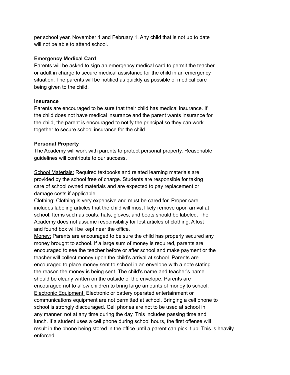per school year, November 1 and February 1. Any child that is not up to date will not be able to attend school.

## **Emergency Medical Card**

Parents will be asked to sign an emergency medical card to permit the teacher or adult in charge to secure medical assistance for the child in an emergency situation. The parents will be notified as quickly as possible of medical care being given to the child.

## **Insurance**

Parents are encouraged to be sure that their child has medical insurance. If the child does not have medical insurance and the parent wants insurance for the child, the parent is encouraged to notify the principal so they can work together to secure school insurance for the child.

## **Personal Property**

The Academy will work with parents to protect personal property. Reasonable guidelines will contribute to our success.

School Materials: Required textbooks and related learning materials are provided by the school free of charge. Students are responsible for taking care of school owned materials and are expected to pay replacement or damage costs if applicable.

Clothing: Clothing is very expensive and must be cared for. Proper care includes labeling articles that the child will most likely remove upon arrival at school. Items such as coats, hats, gloves, and boots should be labeled. The Academy does not assume responsibility for lost articles of clothing. A lost and found box will be kept near the office.

Money: Parents are encouraged to be sure the child has properly secured any money brought to school. If a large sum of money is required, parents are encouraged to see the teacher before or after school and make payment or the teacher will collect money upon the child's arrival at school. Parents are encouraged to place money sent to school in an envelope with a note stating the reason the money is being sent. The child's name and teacher's name should be clearly written on the outside of the envelope. Parents are encouraged not to allow children to bring large amounts of money to school. Electronic Equipment: Electronic or battery operated entertainment or communications equipment are not permitted at school. Bringing a cell phone to school is strongly discouraged. Cell phones are not to be used at school in any manner, not at any time during the day. This includes passing time and lunch. If a student uses a cell phone during school hours, the first offense will result in the phone being stored in the office until a parent can pick it up. This is heavily enforced.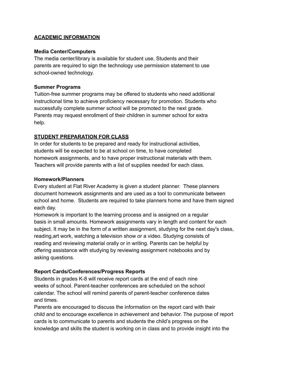### **ACADEMIC INFORMATION**

### **Media Center/Computers**

The media center/library is available for student use. Students and their parents are required to sign the technology use permission statement to use school-owned technology.

#### **Summer Programs**

Tuition-free summer programs may be offered to students who need additional instructional time to achieve proficiency necessary for promotion. Students who successfully complete summer school will be promoted to the next grade. Parents may request enrollment of their children in summer school for extra help.

### **STUDENT PREPARATION FOR CLASS**

In order for students to be prepared and ready for instructional activities, students will be expected to be at school on time, to have completed homework assignments, and to have proper instructional materials with them. Teachers will provide parents with a list of supplies needed for each class.

#### **Homework/Planners**

Every student at Flat River Academy is given a student planner. These planners document homework assignments and are used as a tool to communicate between school and home. Students are required to take planners home and have them signed each day.

Homework is important to the learning process and is assigned on a regular basis in small amounts. Homework assignments vary in length and content for each subject. It may be in the form of a written assignment, studying for the next day's class, reading,art work, watching a television show or a video. Studying consists of reading and reviewing material orally or in writing. Parents can be helpful by offering assistance with studying by reviewing assignment notebooks and by asking questions.

### **Report Cards/Conferences/Progress Reports**

Students in grades K-8 will receive report cards at the end of each nine weeks of school. Parent-teacher conferences are scheduled on the school calendar. The school will remind parents of parent-teacher conference dates and times.

Parents are encouraged to discuss the information on the report card with their child and to encourage excellence in achievement and behavior. The purpose of report cards is to communicate to parents and students the child's progress on the knowledge and skills the student is working on in class and to provide insight into the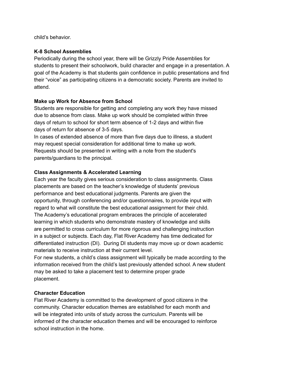child's behavior.

## **K-8 School Assemblies**

Periodically during the school year, there will be Grizzly Pride Assemblies for students to present their schoolwork, build character and engage in a presentation. A goal of the Academy is that students gain confidence in public presentations and find their "voice" as participating citizens in a democratic society. Parents are invited to attend.

## **Make up Work for Absence from School**

Students are responsible for getting and completing any work they have missed due to absence from class. Make up work should be completed within three days of return to school for short term absence of 1-2 days and within five days of return for absence of 3-5 days.

In cases of extended absence of more than five days due to illness, a student may request special consideration for additional time to make up work. Requests should be presented in writing with a note from the student's parents/guardians to the principal.

# **Class Assignments & Accelerated Learning**

Each year the faculty gives serious consideration to class assignments. Class placements are based on the teacher's knowledge of students' previous performance and best educational judgments. Parents are given the opportunity, through conferencing and/or questionnaires, to provide input with regard to what will constitute the best educational assignment for their child. The Academy's educational program embraces the principle of accelerated learning in which students who demonstrate mastery of knowledge and skills are permitted to cross curriculum for more rigorous and challenging instruction in a subject or subjects. Each day, Flat River Academy has time dedicated for differentiated instruction (DI). During DI students may move up or down academic materials to receive instruction at their current level.

For new students, a child's class assignment will typically be made according to the information received from the child's last previously attended school. A new student may be asked to take a placement test to determine proper grade placement.

## **Character Education**

Flat River Academy is committed to the development of good citizens in the community. Character education themes are established for each month and will be integrated into units of study across the curriculum. Parents will be informed of the character education themes and will be encouraged to reinforce school instruction in the home.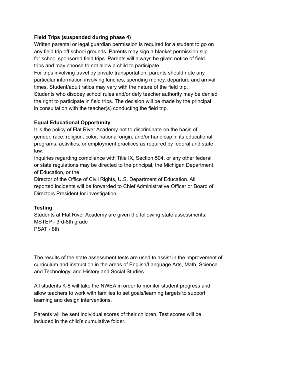### **Field Trips (suspended during phase 4)**

Written parental or legal guardian permission is required for a student to go on any field trip off school grounds. Parents may sign a blanket permission slip for school sponsored field trips. Parents will always be given notice of field trips and may choose to not allow a child to participate.

For trips involving travel by private transportation, parents should note any particular information involving lunches, spending money, departure and arrival times. Student/adult ratios may vary with the nature of the field trip. Students who disobey school rules and/or defy teacher authority may be denied the right to participate in field trips. The decision will be made by the principal in consultation with the teacher(s) conducting the field trip.

### **Equal Educational Opportunity**

It is the policy of Flat River Academy not to discriminate on the basis of gender, race, religion, color, national origin, and/or handicap in its educational programs, activities, or employment practices as required by federal and state law.

Inquiries regarding compliance with Title IX, Section 504, or any other federal or state regulations may be directed to the principal, the Michigan Department of Education, or the

Director of the Office of Civil Rights, U.S. Department of Education. All reported incidents will be forwarded to Chief Administrative Officer or Board of Directors President for investigation.

## **Testing**

Students at Flat River Academy are given the following state assessments: MSTEP - 3rd-8th grade PSAT - 8th

The results of the state assessment tests are used to assist in the improvement of curriculum and instruction in the areas of English/Language Arts, Math, Science and Technology, and History and Social Studies.

All students K-8 will take the NWEA in order to monitor student progress and allow teachers to work with families to set goals/learning targets to support learning and design interventions.

Parents will be sent individual scores of their children. Test scores will be included in the child's cumulative folder.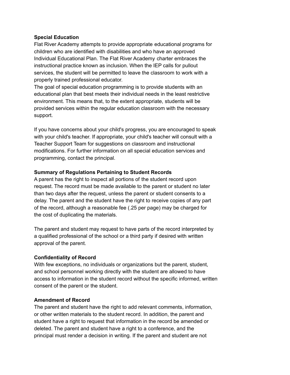### **Special Education**

Flat River Academy attempts to provide appropriate educational programs for children who are identified with disabilities and who have an approved Individual Educational Plan. The Flat River Academy charter embraces the instructional practice known as inclusion. When the IEP calls for pullout services, the student will be permitted to leave the classroom to work with a properly trained professional educator.

The goal of special education programming is to provide students with an educational plan that best meets their individual needs in the least restrictive environment. This means that, to the extent appropriate, students will be provided services within the regular education classroom with the necessary support.

If you have concerns about your child's progress, you are encouraged to speak with your child's teacher. If appropriate, your child's teacher will consult with a Teacher Support Team for suggestions on classroom and instructional modifications. For further information on all special education services and programming, contact the principal.

#### **Summary of Regulations Pertaining to Student Records**

A parent has the right to inspect all portions of the student record upon request. The record must be made available to the parent or student no later than two days after the request, unless the parent or student consents to a delay. The parent and the student have the right to receive copies of any part of the record, although a reasonable fee (.25 per page) may be charged for the cost of duplicating the materials.

The parent and student may request to have parts of the record interpreted by a qualified professional of the school or a third party if desired with written approval of the parent.

#### **Confidentiality of Record**

With few exceptions, no individuals or organizations but the parent, student, and school personnel working directly with the student are allowed to have access to information in the student record without the specific informed, written consent of the parent or the student.

#### **Amendment of Record**

The parent and student have the right to add relevant comments, information, or other written materials to the student record. In addition, the parent and student have a right to request that information in the record be amended or deleted. The parent and student have a right to a conference, and the principal must render a decision in writing. If the parent and student are not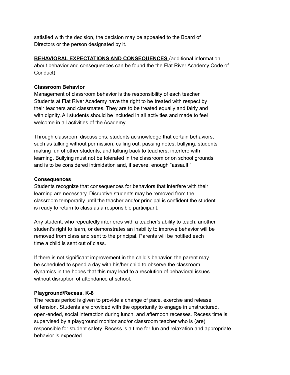satisfied with the decision, the decision may be appealed to the Board of Directors or the person designated by it.

**BEHAVIORAL EXPECTATIONS AND CONSEQUENCES** (additional information about behavior and consequences can be found the the Flat River Academy Code of Conduct)

### **Classroom Behavior**

Management of classroom behavior is the responsibility of each teacher. Students at Flat River Academy have the right to be treated with respect by their teachers and classmates. They are to be treated equally and fairly and with dignity. All students should be included in all activities and made to feel welcome in all activities of the Academy.

Through classroom discussions, students acknowledge that certain behaviors, such as talking without permission, calling out, passing notes, bullying, students making fun of other students, and talking back to teachers, interfere with learning. Bullying must not be tolerated in the classroom or on school grounds and is to be considered intimidation and, if severe, enough "assault."

### **Consequences**

Students recognize that consequences for behaviors that interfere with their learning are necessary. Disruptive students may be removed from the classroom temporarily until the teacher and/or principal is confident the student is ready to return to class as a responsible participant.

Any student, who repeatedly interferes with a teacher's ability to teach, another student's right to learn, or demonstrates an inability to improve behavior will be removed from class and sent to the principal. Parents will be notified each time a child is sent out of class.

If there is not significant improvement in the child's behavior, the parent may be scheduled to spend a day with his/her child to observe the classroom dynamics in the hopes that this may lead to a resolution of behavioral issues without disruption of attendance at school.

## **Playground/Recess, K-8**

The recess period is given to provide a change of pace, exercise and release of tension. Students are provided with the opportunity to engage in unstructured, open-ended, social interaction during lunch, and afternoon recesses. Recess time is supervised by a playground monitor and/or classroom teacher who is (are) responsible for student safety. Recess is a time for fun and relaxation and appropriate behavior is expected.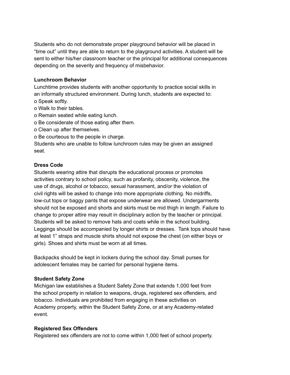Students who do not demonstrate proper playground behavior will be placed in "time out" until they are able to return to the playground activities. A student will be sent to either his/her classroom teacher or the principal for additional consequences depending on the severity and frequency of misbehavior.

### **Lunchroom Behavior**

Lunchtime provides students with another opportunity to practice social skills in an informally structured environment. During lunch, students are expected to: o Speak softly.

- o Walk to their tables.
- o Remain seated while eating lunch.
- o Be considerate of those eating after them.
- o Clean up after themselves.
- o Be courteous to the people in charge.

Students who are unable to follow lunchroom rules may be given an assigned seat.

#### **Dress Code**

Students wearing attire that disrupts the educational process or promotes activities contrary to school policy, such as profanity, obscenity, violence, the use of drugs, alcohol or tobacco, sexual harassment, and/or the violation of civil rights will be asked to change into more appropriate clothing. No midriffs, low-cut tops or baggy pants that expose underwear are allowed. Undergarments should not be exposed and shorts and skirts must be mid thigh in length. Failure to change to proper attire may result in disciplinary action by the teacher or principal. Students will be asked to remove hats and coats while in the school building. Leggings should be accompanied by longer shirts or dresses. Tank tops should have at least 1" straps and muscle shirts should not expose the chest (on either boys or girls). Shoes and shirts must be worn at all times.

Backpacks should be kept in lockers during the school day. Small purses for adolescent females may be carried for personal hygiene items.

#### **Student Safety Zone**

Michigan law establishes a Student Safety Zone that extends 1,000 feet from the school property in relation to weapons, drugs, registered sex offenders, and tobacco. Individuals are prohibited from engaging in these activities on Academy property, within the Student Safety Zone, or at any Academy-related event.

#### **Registered Sex Offenders**

Registered sex offenders are not to come within 1,000 feet of school property.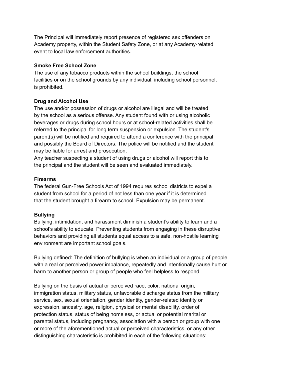The Principal will immediately report presence of registered sex offenders on Academy property, within the Student Safety Zone, or at any Academy-related event to local law enforcement authorities.

### **Smoke Free School Zone**

The use of any tobacco products within the school buildings, the school facilities or on the school grounds by any individual, including school personnel, is prohibited.

## **Drug and Alcohol Use**

The use and/or possession of drugs or alcohol are illegal and will be treated by the school as a serious offense. Any student found with or using alcoholic beverages or drugs during school hours or at school-related activities shall be referred to the principal for long term suspension or expulsion. The student's parent(s) will be notified and required to attend a conference with the principal and possibly the Board of Directors. The police will be notified and the student may be liable for arrest and prosecution.

Any teacher suspecting a student of using drugs or alcohol will report this to the principal and the student will be seen and evaluated immediately.

# **Firearms**

The federal Gun-Free Schools Act of 1994 requires school districts to expel a student from school for a period of not less than one year if it is determined that the student brought a firearm to school. Expulsion may be permanent.

# **Bullying**

Bullying, intimidation, and harassment diminish a student's ability to learn and a school's ability to educate. Preventing students from engaging in these disruptive behaviors and providing all students equal access to a safe, non-hostile learning environment are important school goals.

Bullying defined: The definition of bullying is when an individual or a group of people with a real or perceived power imbalance, repeatedly and intentionally cause hurt or harm to another person or group of people who feel helpless to respond.

Bullying on the basis of actual or perceived race, color, national origin, immigration status, military status, unfavorable discharge status from the military service, sex, sexual orientation, gender identity, gender-related identity or expression, ancestry, age, religion, physical or mental disability, order of protection status, status of being homeless, or actual or potential marital or parental status, including pregnancy, association with a person or group with one or more of the aforementioned actual or perceived characteristics, or any other distinguishing characteristic is prohibited in each of the following situations: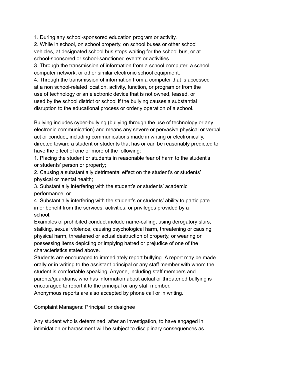1. During any school-sponsored education program or activity.

2. While in school, on school property, on school buses or other school vehicles, at designated school bus stops waiting for the school bus, or at school-sponsored or school-sanctioned events or activities.

3. Through the transmission of information from a school computer, a school computer network, or other similar electronic school equipment.

4. Through the transmission of information from a computer that is accessed at a non school-related location, activity, function, or program or from the use of technology or an electronic device that is not owned, leased, or used by the school district or school if the bullying causes a substantial disruption to the educational process or orderly operation of a school.

Bullying includes cyber-bullying (bullying through the use of technology or any electronic communication) and means any severe or pervasive physical or verbal act or conduct, including communications made in writing or electronically, directed toward a student or students that has or can be reasonably predicted to have the effect of one or more of the following:

1. Placing the student or students in reasonable fear of harm to the student's or students' person or property;

2. Causing a substantially detrimental effect on the student's or students' physical or mental health;

3. Substantially interfering with the student's or students' academic performance; or

4. Substantially interfering with the student's or students' ability to participate in or benefit from the services, activities, or privileges provided by a school.

Examples of prohibited conduct include name-calling, using derogatory slurs, stalking, sexual violence, causing psychological harm, threatening or causing physical harm, threatened or actual destruction of property, or wearing or possessing items depicting or implying hatred or prejudice of one of the characteristics stated above.

Students are encouraged to immediately report bullying. A report may be made orally or in writing to the assistant principal or any staff member with whom the student is comfortable speaking. Anyone, including staff members and parents/guardians, who has information about actual or threatened bullying is encouraged to report it to the principal or any staff member.

Anonymous reports are also accepted by phone call or in writing.

Complaint Managers: Principal or designee

Any student who is determined, after an investigation, to have engaged in intimidation or harassment will be subject to disciplinary consequences as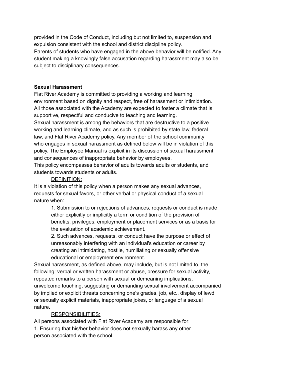provided in the Code of Conduct, including but not limited to, suspension and expulsion consistent with the school and district discipline policy. Parents of students who have engaged in the above behavior will be notified. Any student making a knowingly false accusation regarding harassment may also be subject to disciplinary consequences.

#### **Sexual Harassment**

Flat River Academy is committed to providing a working and learning environment based on dignity and respect, free of harassment or intimidation. All those associated with the Academy are expected to foster a climate that is supportive, respectful and conducive to teaching and learning. Sexual harassment is among the behaviors that are destructive to a positive

working and learning climate, and as such is prohibited by state law, federal law, and Flat River Academy policy. Any member of the school community who engages in sexual harassment as defined below will be in violation of this policy. The Employee Manual is explicit in its discussion of sexual harassment and consequences of inappropriate behavior by employees.

This policy encompasses behavior of adults towards adults or students, and students towards students or adults.

### DEFINITION:

It is a violation of this policy when a person makes any sexual advances, requests for sexual favors, or other verbal or physical conduct of a sexual nature when:

> 1. Submission to or rejections of advances, requests or conduct is made either explicitly or implicitly a term or condition of the provision of benefits, privileges, employment or placement services or as a basis for the evaluation of academic achievement.

2. Such advances, requests, or conduct have the purpose or effect of unreasonably interfering with an individual's education or career by creating an intimidating, hostile, humiliating or sexually offensive educational or employment environment.

Sexual harassment, as defined above, may include, but is not limited to, the following: verbal or written harassment or abuse, pressure for sexual activity, repeated remarks to a person with sexual or demeaning implications, unwelcome touching, suggesting or demanding sexual involvement accompanied by implied or explicit threats concerning one's grades, job, etc., display of lewd or sexually explicit materials, inappropriate jokes, or language of a sexual nature.

### RESPONSIBILITIES:

All persons associated with Flat River Academy are responsible for: 1. Ensuring that his/her behavior does not sexually harass any other person associated with the school.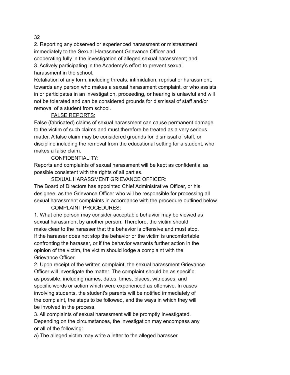#### 32

2. Reporting any observed or experienced harassment or mistreatment immediately to the Sexual Harassment Grievance Officer and cooperating fully in the investigation of alleged sexual harassment; and 3. Actively participating in the Academy's effort to prevent sexual harassment in the school.

Retaliation of any form, including threats, intimidation, reprisal or harassment, towards any person who makes a sexual harassment complaint, or who assists in or participates in an investigation, proceeding, or hearing is unlawful and will not be tolerated and can be considered grounds for dismissal of staff and/or removal of a student from school.

#### FALSE REPORTS:

False (fabricated) claims of sexual harassment can cause permanent damage to the victim of such claims and must therefore be treated as a very serious matter. A false claim may be considered grounds for dismissal of staff, or discipline including the removal from the educational setting for a student, who makes a false claim.

### CONFIDENTIALITY:

Reports and complaints of sexual harassment will be kept as confidential as possible consistent with the rights of all parties.

SEXUAL HARASSMENT GRIEVANCE OFFICER:

The Board of Directors has appointed Chief Administrative Officer, or his designee, as the Grievance Officer who will be responsible for processing all sexual harassment complaints in accordance with the procedure outlined below.

### COMPLAINT PROCEDURES:

1. What one person may consider acceptable behavior may be viewed as sexual harassment by another person. Therefore, the victim should make clear to the harasser that the behavior is offensive and must stop. If the harasser does not stop the behavior or the victim is uncomfortable confronting the harasser, or if the behavior warrants further action in the opinion of the victim, the victim should lodge a complaint with the Grievance Officer.

2. Upon receipt of the written complaint, the sexual harassment Grievance Officer will investigate the matter. The complaint should be as specific as possible, including names, dates, times, places, witnesses, and specific words or action which were experienced as offensive. In cases involving students, the student's parents will be notified immediately of the complaint, the steps to be followed, and the ways in which they will be involved in the process.

3. All complaints of sexual harassment will be promptly investigated. Depending on the circumstances, the investigation may encompass any or all of the following:

a) The alleged victim may write a letter to the alleged harasser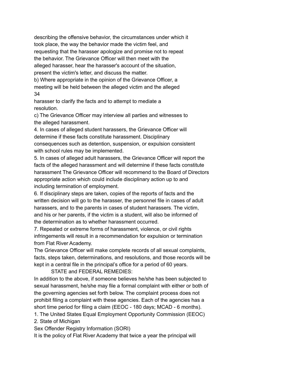describing the offensive behavior, the circumstances under which it took place, the way the behavior made the victim feel, and requesting that the harasser apologize and promise not to repeat the behavior. The Grievance Officer will then meet with the alleged harasser, hear the harasser's account of the situation, present the victim's letter, and discuss the matter.

b) Where appropriate in the opinion of the Grievance Officer, a meeting will be held between the alleged victim and the alleged 34

harasser to clarify the facts and to attempt to mediate a resolution.

c) The Grievance Officer may interview all parties and witnesses to the alleged harassment.

4. In cases of alleged student harassers, the Grievance Officer will determine if these facts constitute harassment. Disciplinary consequences such as detention, suspension, or expulsion consistent with school rules may be implemented.

5. In cases of alleged adult harassers, the Grievance Officer will report the facts of the alleged harassment and will determine if these facts constitute harassment The Grievance Officer will recommend to the Board of Directors appropriate action which could include disciplinary action up to and including termination of employment.

6. If disciplinary steps are taken, copies of the reports of facts and the written decision will go to the harasser, the personnel file in cases of adult harassers, and to the parents in cases of student harassers. The victim, and his or her parents, if the victim is a student, will also be informed of the determination as to whether harassment occurred.

7. Repeated or extreme forms of harassment, violence, or civil rights infringements will result in a recommendation for expulsion or termination from Flat River Academy.

The Grievance Officer will make complete records of all sexual complaints, facts, steps taken, determinations, and resolutions, and those records will be kept in a central file in the principal's office for a period of 60 years.

## STATE and FEDERAL REMEDIES:

In addition to the above, if someone believes he/she has been subjected to sexual harassment, he/she may file a formal complaint with either or both of the governing agencies set forth below. The complaint process does not prohibit filing a complaint with these agencies. Each of the agencies has a short time period for filing a claim (EEOC - 180 days; MCAD - 6 months).

1. The United States Equal Employment Opportunity Commission (EEOC)

2. State of Michigan

Sex Offender Registry Information (SORI)

It is the policy of Flat River Academy that twice a year the principal will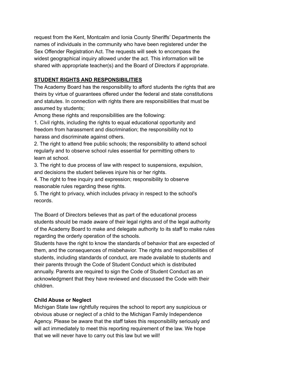request from the Kent, Montcalm and Ionia County Sheriffs' Departments the names of individuals in the community who have been registered under the Sex Offender Registration Act. The requests will seek to encompass the widest geographical inquiry allowed under the act. This information will be shared with appropriate teacher(s) and the Board of Directors if appropriate.

# **STUDENT RIGHTS AND RESPONSIBILITIES**

The Academy Board has the responsibility to afford students the rights that are theirs by virtue of guarantees offered under the federal and state constitutions and statutes. In connection with rights there are responsibilities that must be assumed by students;

Among these rights and responsibilities are the following:

1. Civil rights, including the rights to equal educational opportunity and freedom from harassment and discrimination; the responsibility not to harass and discriminate against others.

2. The right to attend free public schools; the responsibility to attend school regularly and to observe school rules essential for permitting others to learn at school.

3. The right to due process of law with respect to suspensions, expulsion, and decisions the student believes injure his or her rights.

4. The right to free inquiry and expression; responsibility to observe reasonable rules regarding these rights.

5. The right to privacy, which includes privacy in respect to the school's records.

The Board of Directors believes that as part of the educational process students should be made aware of their legal rights and of the legal authority of the Academy Board to make and delegate authority to its staff to make rules regarding the orderly operation of the schools.

Students have the right to know the standards of behavior that are expected of them, and the consequences of misbehavior. The rights and responsibilities of students, including standards of conduct, are made available to students and their parents through the Code of Student Conduct which is distributed annually. Parents are required to sign the Code of Student Conduct as an acknowledgment that they have reviewed and discussed the Code with their children.

## **Child Abuse or Neglect**

Michigan State law rightfully requires the school to report any suspicious or obvious abuse or neglect of a child to the Michigan Family Independence Agency. Please be aware that the staff takes this responsibility seriously and will act immediately to meet this reporting requirement of the law. We hope that we will never have to carry out this law but we will!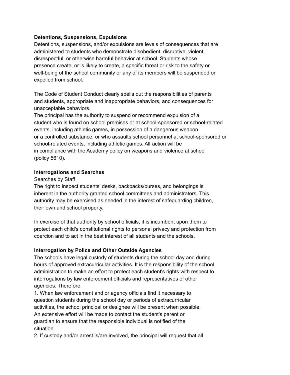### **Detentions, Suspensions, Expulsions**

Detentions, suspensions, and/or expulsions are levels of consequences that are administered to students who demonstrate disobedient, disruptive, violent, disrespectful, or otherwise harmful behavior at school. Students whose presence create, or is likely to create, a specific threat or risk to the safety or well-being of the school community or any of its members will be suspended or expelled from school.

The Code of Student Conduct clearly spells out the responsibilities of parents and students, appropriate and inappropriate behaviors, and consequences for unacceptable behaviors.

The principal has the authority to suspend or recommend expulsion of a student who is found on school premises or at school-sponsored or school-related events, including athletic games, in possession of a dangerous weapon or a controlled substance, or who assaults school personnel at school-sponsored or school-related events, including athletic games. All action will be in compliance with the Academy policy on weapons and violence at school (policy 5610).

#### **Interrogations and Searches**

#### Searches by Staff

The right to inspect students' desks, backpacks/purses, and belongings is inherent in the authority granted school committees and administrators. This authority may be exercised as needed in the interest of safeguarding children, their own and school property.

In exercise of that authority by school officials, it is incumbent upon them to protect each child's constitutional rights to personal privacy and protection from coercion and to act in the best interest of all students and the schools.

### **Interrogation by Police and Other Outside Agencies**

The schools have legal custody of students during the school day and during hours of approved extracurricular activities. It is the responsibility of the school administration to make an effort to protect each student's rights with respect to interrogations by law enforcement officials and representatives of other agencies. Therefore:

1. When law enforcement and or agency officials find it necessary to question students during the school day or periods of extracurricular activities, the school principal or designee will be present when possible. An extensive effort will be made to contact the student's parent or guardian to ensure that the responsible individual is notified of the situation.

2. If custody and/or arrest is/are involved, the principal will request that all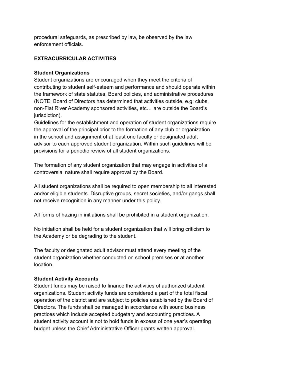procedural safeguards, as prescribed by law, be observed by the law enforcement officials.

# **EXTRACURRICULAR ACTIVITIES**

### **Student Organizations**

Student organizations are encouraged when they meet the criteria of contributing to student self-esteem and performance and should operate within the framework of state statutes, Board policies, and administrative procedures (NOTE: Board of Directors has determined that activities outside, e.g: clubs, non-Flat River Academy sponsored activities, etc… are outside the Board's jurisdiction).

Guidelines for the establishment and operation of student organizations require the approval of the principal prior to the formation of any club or organization in the school and assignment of at least one faculty or designated adult advisor to each approved student organization. Within such guidelines will be provisions for a periodic review of all student organizations.

The formation of any student organization that may engage in activities of a controversial nature shall require approval by the Board.

All student organizations shall be required to open membership to all interested and/or eligible students. Disruptive groups, secret societies, and/or gangs shall not receive recognition in any manner under this policy.

All forms of hazing in initiations shall be prohibited in a student organization.

No initiation shall be held for a student organization that will bring criticism to the Academy or be degrading to the student.

The faculty or designated adult advisor must attend every meeting of the student organization whether conducted on school premises or at another location.

## **Student Activity Accounts**

Student funds may be raised to finance the activities of authorized student organizations. Student activity funds are considered a part of the total fiscal operation of the district and are subject to policies established by the Board of Directors. The funds shall be managed in accordance with sound business practices which include accepted budgetary and accounting practices. A student activity account is not to hold funds in excess of one year's operating budget unless the Chief Administrative Officer grants written approval.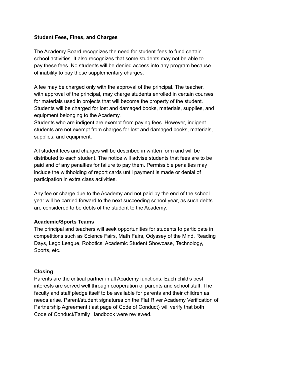#### **Student Fees, Fines, and Charges**

The Academy Board recognizes the need for student fees to fund certain school activities. It also recognizes that some students may not be able to pay these fees. No students will be denied access into any program because of inability to pay these supplementary charges.

A fee may be charged only with the approval of the principal. The teacher, with approval of the principal, may charge students enrolled in certain courses for materials used in projects that will become the property of the student. Students will be charged for lost and damaged books, materials, supplies, and equipment belonging to the Academy.

Students who are indigent are exempt from paying fees. However, indigent students are not exempt from charges for lost and damaged books, materials, supplies, and equipment.

All student fees and charges will be described in written form and will be distributed to each student. The notice will advise students that fees are to be paid and of any penalties for failure to pay them. Permissible penalties may include the withholding of report cards until payment is made or denial of participation in extra class activities.

Any fee or charge due to the Academy and not paid by the end of the school year will be carried forward to the next succeeding school year, as such debts are considered to be debts of the student to the Academy.

#### **Academic/Sports Teams**

The principal and teachers will seek opportunities for students to participate in competitions such as Science Fairs, Math Fairs, Odyssey of the Mind, Reading Days, Lego League, Robotics, Academic Student Showcase, Technology, Sports, etc.

#### **Closing**

Parents are the critical partner in all Academy functions. Each child's best interests are served well through cooperation of parents and school staff. The faculty and staff pledge itself to be available for parents and their children as needs arise. Parent/student signatures on the Flat River Academy Verification of Partnership Agreement (last page of Code of Conduct) will verify that both Code of Conduct/Family Handbook were reviewed.